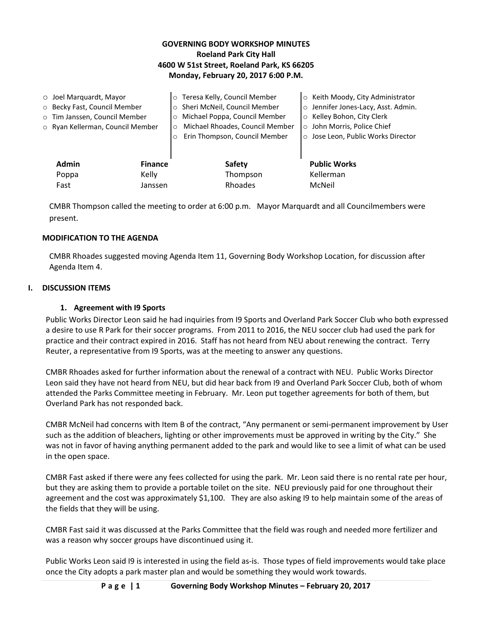## **GOVERNING BODY WORKSHOP MINUTES Roeland Park City Hall 4600 W 51st Street, Roeland Park, KS 66205 Monday, February 20, 2017 6:00 P.M.**

| $\circ$ Joel Marquardt, Mayor<br>O Becky Fast, Council Member<br>o Tim Janssen, Council Member<br>○ Ryan Kellerman, Council Member |              |                | o Teresa Kelly, Council Member<br>o Sheri McNeil, Council Member<br>Michael Poppa, Council Member<br>$\circ$<br>Michael Rhoades, Council Member<br>$\circ$<br>Erin Thompson, Council Member<br>$\circ$ | ○ Keith Moody, City Administrator<br>o Jennifer Jones-Lacy, Asst. Admin.<br>○ Kelley Bohon, City Clerk<br>o John Morris, Police Chief<br>o Jose Leon, Public Works Director |
|------------------------------------------------------------------------------------------------------------------------------------|--------------|----------------|--------------------------------------------------------------------------------------------------------------------------------------------------------------------------------------------------------|-----------------------------------------------------------------------------------------------------------------------------------------------------------------------------|
|                                                                                                                                    | <b>Admin</b> | <b>Finance</b> | <b>Safety</b>                                                                                                                                                                                          | <b>Public Works</b>                                                                                                                                                         |
|                                                                                                                                    | Poppa        | Kelly          | Thompson                                                                                                                                                                                               | Kellerman                                                                                                                                                                   |
|                                                                                                                                    | Fast         | Janssen        | Rhoades                                                                                                                                                                                                | McNeil                                                                                                                                                                      |

CMBR Thompson called the meeting to order at 6:00 p.m. Mayor Marquardt and all Councilmembers were present.

### **MODIFICATION TO THE AGENDA**

CMBR Rhoades suggested moving Agenda Item 11, Governing Body Workshop Location, for discussion after Agenda Item 4.

### **I. DISCUSSION ITEMS**

### **1. Agreement with I9 Sports**

Public Works Director Leon said he had inquiries from I9 Sports and Overland Park Soccer Club who both expressed a desire to use R Park for their soccer programs. From 2011 to 2016, the NEU soccer club had used the park for practice and their contract expired in 2016. Staff has not heard from NEU about renewing the contract. Terry Reuter, a representative from I9 Sports, was at the meeting to answer any questions.

CMBR Rhoades asked for further information about the renewal of a contract with NEU. Public Works Director Leon said they have not heard from NEU, but did hear back from I9 and Overland Park Soccer Club, both of whom attended the Parks Committee meeting in February. Mr. Leon put together agreements for both of them, but Overland Park has not responded back.

CMBR McNeil had concerns with Item B of the contract, "Any permanent or semi-permanent improvement by User such as the addition of bleachers, lighting or other improvements must be approved in writing by the City." She was not in favor of having anything permanent added to the park and would like to see a limit of what can be used in the open space.

CMBR Fast asked if there were any fees collected for using the park. Mr. Leon said there is no rental rate per hour, but they are asking them to provide a portable toilet on the site. NEU previously paid for one throughout their agreement and the cost was approximately \$1,100. They are also asking I9 to help maintain some of the areas of the fields that they will be using.

CMBR Fast said it was discussed at the Parks Committee that the field was rough and needed more fertilizer and was a reason why soccer groups have discontinued using it.

Public Works Leon said I9 is interested in using the field as-is. Those types of field improvements would take place once the City adopts a park master plan and would be something they would work towards.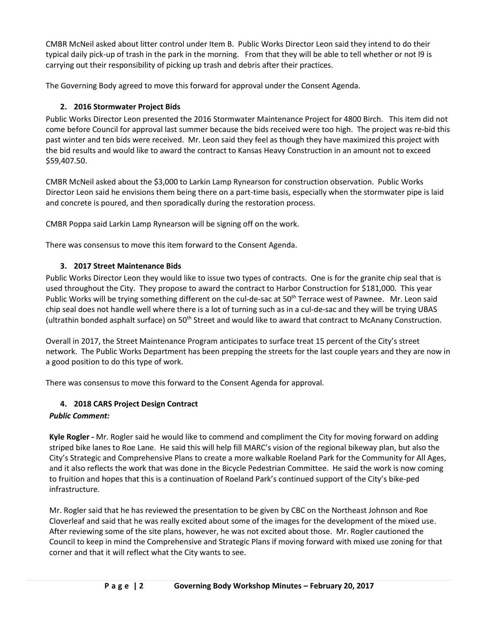CMBR McNeil asked about litter control under Item B. Public Works Director Leon said they intend to do their typical daily pick-up of trash in the park in the morning. From that they will be able to tell whether or not I9 is carrying out their responsibility of picking up trash and debris after their practices.

The Governing Body agreed to move this forward for approval under the Consent Agenda.

## **2. 2016 Stormwater Project Bids**

Public Works Director Leon presented the 2016 Stormwater Maintenance Project for 4800 Birch. This item did not come before Council for approval last summer because the bids received were too high. The project was re-bid this past winter and ten bids were received. Mr. Leon said they feel as though they have maximized this project with the bid results and would like to award the contract to Kansas Heavy Construction in an amount not to exceed \$59,407.50.

CMBR McNeil asked about the \$3,000 to Larkin Lamp Rynearson for construction observation. Public Works Director Leon said he envisions them being there on a part-time basis, especially when the stormwater pipe is laid and concrete is poured, and then sporadically during the restoration process.

CMBR Poppa said Larkin Lamp Rynearson will be signing off on the work.

There was consensus to move this item forward to the Consent Agenda.

## **3. 2017 Street Maintenance Bids**

Public Works Director Leon they would like to issue two types of contracts. One is for the granite chip seal that is used throughout the City. They propose to award the contract to Harbor Construction for \$181,000. This year Public Works will be trying something different on the cul-de-sac at 50<sup>th</sup> Terrace west of Pawnee. Mr. Leon said chip seal does not handle well where there is a lot of turning such as in a cul-de-sac and they will be trying UBAS (ultrathin bonded asphalt surface) on  $50<sup>th</sup>$  Street and would like to award that contract to McAnany Construction.

Overall in 2017, the Street Maintenance Program anticipates to surface treat 15 percent of the City's street network. The Public Works Department has been prepping the streets for the last couple years and they are now in a good position to do this type of work.

There was consensus to move this forward to the Consent Agenda for approval.

# **4. 2018 CARS Project Design Contract**

# *Public Comment:*

**Kyle Rogler -** Mr. Rogler said he would like to commend and compliment the City for moving forward on adding striped bike lanes to Roe Lane. He said this will help fill MARC's vision of the regional bikeway plan, but also the City's Strategic and Comprehensive Plans to create a more walkable Roeland Park for the Community for All Ages, and it also reflects the work that was done in the Bicycle Pedestrian Committee. He said the work is now coming to fruition and hopes that this is a continuation of Roeland Park's continued support of the City's bike-ped infrastructure.

Mr. Rogler said that he has reviewed the presentation to be given by CBC on the Northeast Johnson and Roe Cloverleaf and said that he was really excited about some of the images for the development of the mixed use. After reviewing some of the site plans, however, he was not excited about those. Mr. Rogler cautioned the Council to keep in mind the Comprehensive and Strategic Plans if moving forward with mixed use zoning for that corner and that it will reflect what the City wants to see.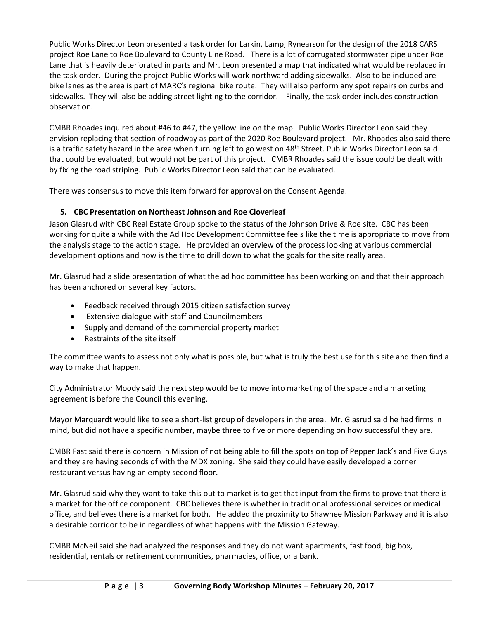Public Works Director Leon presented a task order for Larkin, Lamp, Rynearson for the design of the 2018 CARS project Roe Lane to Roe Boulevard to County Line Road. There is a lot of corrugated stormwater pipe under Roe Lane that is heavily deteriorated in parts and Mr. Leon presented a map that indicated what would be replaced in the task order. During the project Public Works will work northward adding sidewalks. Also to be included are bike lanes as the area is part of MARC's regional bike route. They will also perform any spot repairs on curbs and sidewalks. They will also be adding street lighting to the corridor. Finally, the task order includes construction observation.

CMBR Rhoades inquired about #46 to #47, the yellow line on the map. Public Works Director Leon said they envision replacing that section of roadway as part of the 2020 Roe Boulevard project. Mr. Rhoades also said there is a traffic safety hazard in the area when turning left to go west on 48<sup>th</sup> Street. Public Works Director Leon said that could be evaluated, but would not be part of this project. CMBR Rhoades said the issue could be dealt with by fixing the road striping. Public Works Director Leon said that can be evaluated.

There was consensus to move this item forward for approval on the Consent Agenda.

## **5. CBC Presentation on Northeast Johnson and Roe Cloverleaf**

Jason Glasrud with CBC Real Estate Group spoke to the status of the Johnson Drive & Roe site. CBC has been working for quite a while with the Ad Hoc Development Committee feels like the time is appropriate to move from the analysis stage to the action stage. He provided an overview of the process looking at various commercial development options and now is the time to drill down to what the goals for the site really area.

Mr. Glasrud had a slide presentation of what the ad hoc committee has been working on and that their approach has been anchored on several key factors.

- Feedback received through 2015 citizen satisfaction survey
- Extensive dialogue with staff and Councilmembers
- Supply and demand of the commercial property market
- Restraints of the site itself

The committee wants to assess not only what is possible, but what is truly the best use for this site and then find a way to make that happen.

City Administrator Moody said the next step would be to move into marketing of the space and a marketing agreement is before the Council this evening.

Mayor Marquardt would like to see a short-list group of developers in the area. Mr. Glasrud said he had firms in mind, but did not have a specific number, maybe three to five or more depending on how successful they are.

CMBR Fast said there is concern in Mission of not being able to fill the spots on top of Pepper Jack's and Five Guys and they are having seconds of with the MDX zoning. She said they could have easily developed a corner restaurant versus having an empty second floor.

Mr. Glasrud said why they want to take this out to market is to get that input from the firms to prove that there is a market for the office component. CBC believes there is whether in traditional professional services or medical office, and believes there is a market for both. He added the proximity to Shawnee Mission Parkway and it is also a desirable corridor to be in regardless of what happens with the Mission Gateway.

CMBR McNeil said she had analyzed the responses and they do not want apartments, fast food, big box, residential, rentals or retirement communities, pharmacies, office, or a bank.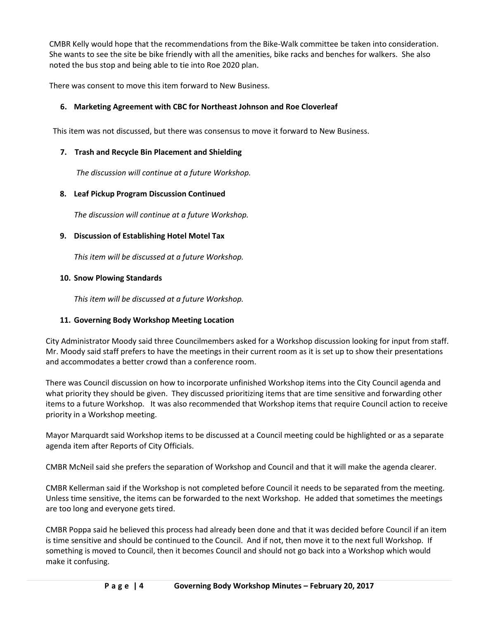CMBR Kelly would hope that the recommendations from the Bike-Walk committee be taken into consideration. She wants to see the site be bike friendly with all the amenities, bike racks and benches for walkers. She also noted the bus stop and being able to tie into Roe 2020 plan.

There was consent to move this item forward to New Business.

## **6. Marketing Agreement with CBC for Northeast Johnson and Roe Cloverleaf**

This item was not discussed, but there was consensus to move it forward to New Business.

### **7. Trash and Recycle Bin Placement and Shielding**

*The discussion will continue at a future Workshop.*

## **8. Leaf Pickup Program Discussion Continued**

*The discussion will continue at a future Workshop.* 

### **9. Discussion of Establishing Hotel Motel Tax**

*This item will be discussed at a future Workshop.*

### **10. Snow Plowing Standards**

*This item will be discussed at a future Workshop.*

## **11. Governing Body Workshop Meeting Location**

City Administrator Moody said three Councilmembers asked for a Workshop discussion looking for input from staff. Mr. Moody said staff prefers to have the meetings in their current room as it is set up to show their presentations and accommodates a better crowd than a conference room.

There was Council discussion on how to incorporate unfinished Workshop items into the City Council agenda and what priority they should be given. They discussed prioritizing items that are time sensitive and forwarding other items to a future Workshop. It was also recommended that Workshop items that require Council action to receive priority in a Workshop meeting.

Mayor Marquardt said Workshop items to be discussed at a Council meeting could be highlighted or as a separate agenda item after Reports of City Officials.

CMBR McNeil said she prefers the separation of Workshop and Council and that it will make the agenda clearer.

CMBR Kellerman said if the Workshop is not completed before Council it needs to be separated from the meeting. Unless time sensitive, the items can be forwarded to the next Workshop. He added that sometimes the meetings are too long and everyone gets tired.

CMBR Poppa said he believed this process had already been done and that it was decided before Council if an item is time sensitive and should be continued to the Council. And if not, then move it to the next full Workshop. If something is moved to Council, then it becomes Council and should not go back into a Workshop which would make it confusing.